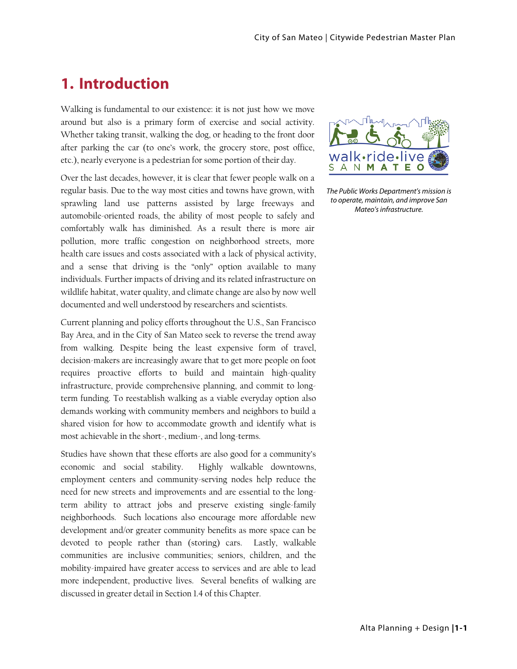# **1. Introduction**

Walking is fundamental to our existence: it is not just how we move around but also is a primary form of exercise and social activity. Whether taking transit, walking the dog, or heading to the front door after parking the car (to one's work, the grocery store, post office, etc.), nearly everyone is a pedestrian for some portion of their day.

Over the last decades, however, it is clear that fewer people walk on a regular basis. Due to the way most cities and towns have grown, with sprawling land use patterns assisted by large freeways and automobile-oriented roads, the ability of most people to safely and comfortably walk has diminished. As a result there is more air pollution, more traffic congestion on neighborhood streets, more health care issues and costs associated with a lack of physical activity, and a sense that driving is the "only" option available to many individuals. Further impacts of driving and its related infrastructure on wildlife habitat, water quality, and climate change are also by now well documented and well understood by researchers and scientists.

Current planning and policy efforts throughout the U.S., San Francisco Bay Area, and in the City of San Mateo seek to reverse the trend away from walking. Despite being the least expensive form of travel, decision-makers are increasingly aware that to get more people on foot requires proactive efforts to build and maintain high-quality infrastructure, provide comprehensive planning, and commit to longterm funding. To reestablish walking as a viable everyday option also demands working with community members and neighbors to build a shared vision for how to accommodate growth and identify what is most achievable in the short-, medium-, and long-terms.

Studies have shown that these efforts are also good for a community's economic and social stability. Highly walkable downtowns, employment centers and community-serving nodes help reduce the need for new streets and improvements and are essential to the longterm ability to attract jobs and preserve existing single-family neighborhoods. Such locations also encourage more affordable new development and/or greater community benefits as more space can be devoted to people rather than (storing) cars. Lastly, walkable communities are inclusive communities; seniors, children, and the mobility-impaired have greater access to services and are able to lead more independent, productive lives. Several benefits of walking are discussed in greater detail in Section 1.4 of this Chapter.



The Public Works Department's mission is to operate, maintain, and improve San Mateo's infrastructure.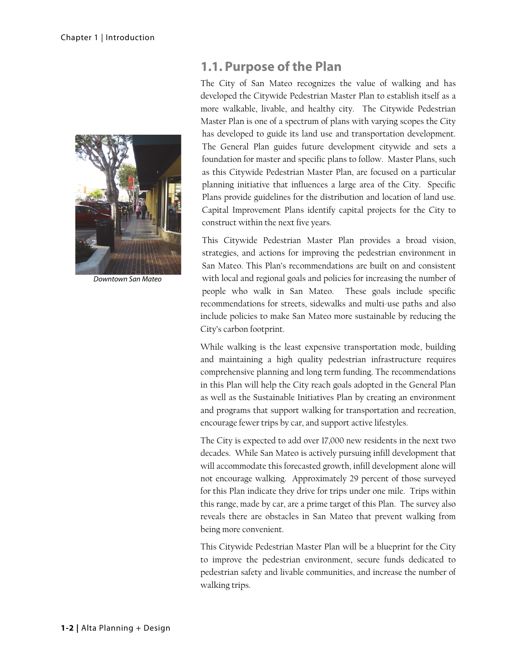

Downtown San Mateo

# **1.1. Purpose of the Plan**

The City of San Mateo recognizes the value of walking and has developed the Citywide Pedestrian Master Plan to establish itself as a more walkable, livable, and healthy city. The Citywide Pedestrian Master Plan is one of a spectrum of plans with varying scopes the City has developed to guide its land use and transportation development. The General Plan guides future development citywide and sets a foundation for master and specific plans to follow. Master Plans, such as this Citywide Pedestrian Master Plan, are focused on a particular planning initiative that influences a large area of the City. Specific Plans provide guidelines for the distribution and location of land use. Capital Improvement Plans identify capital projects for the City to construct within the next five years.

This Citywide Pedestrian Master Plan provides a broad vision, strategies, and actions for improving the pedestrian environment in San Mateo. This Plan's recommendations are built on and consistent with local and regional goals and policies for increasing the number of people who walk in San Mateo. These goals include specific recommendations for streets, sidewalks and multi-use paths and also include policies to make San Mateo more sustainable by reducing the City's carbon footprint.

While walking is the least expensive transportation mode, building and maintaining a high quality pedestrian infrastructure requires comprehensive planning and long term funding. The recommendations in this Plan will help the City reach goals adopted in the General Plan as well as the Sustainable Initiatives Plan by creating an environment and programs that support walking for transportation and recreation, encourage fewer trips by car, and support active lifestyles.

The City is expected to add over 17,000 new residents in the next two decades. While San Mateo is actively pursuing infill development that will accommodate this forecasted growth, infill development alone will not encourage walking. Approximately 29 percent of those surveyed for this Plan indicate they drive for trips under one mile. Trips within this range, made by car, are a prime target of this Plan. The survey also reveals there are obstacles in San Mateo that prevent walking from being more convenient.

This Citywide Pedestrian Master Plan will be a blueprint for the City to improve the pedestrian environment, secure funds dedicated to pedestrian safety and livable communities, and increase the number of walking trips.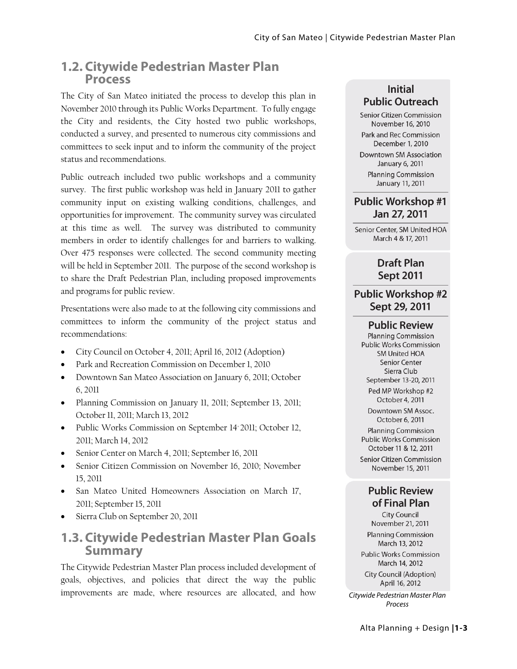# **1.2. Citywide Pedestrian Master Plan Process**

The City of San Mateo initiated the process to develop this plan in November 2010 through its Public Works Department. To fully engage the City and residents, the City hosted two public workshops, conducted a survey, and presented to numerous city commissions and committees to seek input and to inform the community of the project status and recommendations.

Public outreach included two public workshops and a community survey. The first public workshop was held in January 2011 to gather community input on existing walking conditions, challenges, and opportunities for improvement. The community survey was circulated at this time as well. The survey was distributed to community members in order to identify challenges for and barriers to walking. Over 475 responses were collected. The second community meeting will be held in September 2011. The purpose of the second workshop is to share the Draft Pedestrian Plan, including proposed improvements and programs for public review.

Presentations were also made to at the following city commissions and committees to inform the community of the project status and recommendations:

- City Council on October 4, 2011; April 16, 2012 (Adoption)
- Park and Recreation Commission on December 1, 2010
- Downtown San Mateo Association on January 6, 2011; October 6, 2011
- Planning Commission on January 11, 2011; September 13, 2011; October 11, 2011; March 13, 2012
- Public Works Commission on September 14' 2011; October 12, 2011; March 14, 2012
- Senior Center on March 4, 2011; September 16, 2011
- Senior Citizen Commission on November 16, 2010; November 15, 2011
- San Mateo United Homeowners Association on March 17, 2011; September 15, 2011
- Sierra Club on September 20, 2011

## **1.3. Citywide Pedestrian Master Plan Goals Summary**

The Citywide Pedestrian Master Plan process included development of goals, objectives, and policies that direct the way the public improvements are made, where resources are allocated, and how Citywide Pedestrian Master Plan

### **Initial Public Outreach**

Senior Citizen Commission November 16, 2010 Park and Rec Commission December 1, 2010 **Downtown SM Association** January 6, 2011 **Planning Commission** January 11, 2011

### **Public Workshop #1** Jan 27, 2011

Senior Center, SM United HOA March 4 & 17, 2011

### **Draft Plan Sept 2011**

### **Public Workshop #2** Sept 29, 2011

### **Public Review**

**Planning Commission** Public Works Commission **SM United HOA Senior Center** Sierra Club September 13-20, 2011 Ped MP Workshop #2 October 4, 2011 Downtown SM Assoc. October 6, 2011 **Planning Commission Public Works Commission** October 11 & 12, 2011

Senior Citizen Commission November 15, 2011

### **Public Review** of Final Plan

**City Council** November 21, 2011 **Planning Commission** March 13, 2012 **Public Works Commission** March 14, 2012 City Council (Adoption) April 16, 2012

Process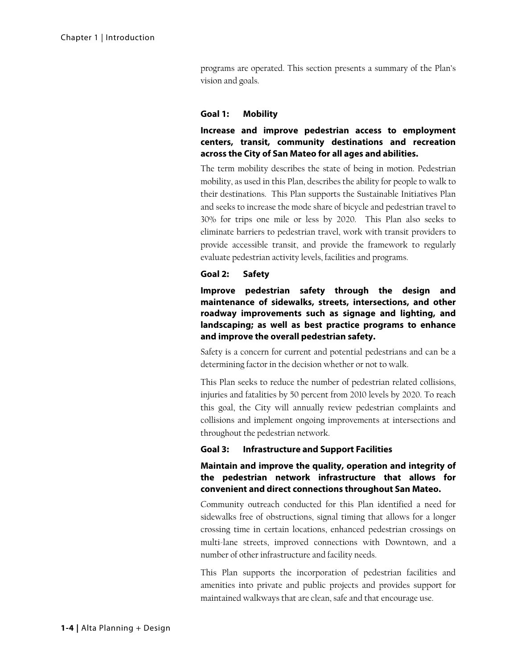programs are operated. This section presents a summary of the Plan's vision and goals.

#### **Goal 1: Mobility**

### **Increase and improve pedestrian access to employment centers, transit, community destinations and recreation across the City of San Mateo for all ages and abilities.**

The term mobility describes the state of being in motion. Pedestrian mobility, as used in this Plan, describes the ability for people to walk to their destinations. This Plan supports the Sustainable Initiatives Plan and seeks to increase the mode share of bicycle and pedestrian travel to 30% for trips one mile or less by 2020. This Plan also seeks to eliminate barriers to pedestrian travel, work with transit providers to provide accessible transit, and provide the framework to regularly evaluate pedestrian activity levels, facilities and programs.

#### **Goal 2: Safety**

**Improve pedestrian safety through the design and maintenance of sidewalks, streets, intersections, and other roadway improvements such as signage and lighting, and landscaping; as well as best practice programs to enhance and improve the overall pedestrian safety.** 

Safety is a concern for current and potential pedestrians and can be a determining factor in the decision whether or not to walk.

This Plan seeks to reduce the number of pedestrian related collisions, injuries and fatalities by 50 percent from 2010 levels by 2020. To reach this goal, the City will annually review pedestrian complaints and collisions and implement ongoing improvements at intersections and throughout the pedestrian network.

### **Goal 3: Infrastructure and Support Facilities**

### **Maintain and improve the quality, operation and integrity of the pedestrian network infrastructure that allows for convenient and direct connections throughout San Mateo.**

Community outreach conducted for this Plan identified a need for sidewalks free of obstructions, signal timing that allows for a longer crossing time in certain locations, enhanced pedestrian crossings on multi-lane streets, improved connections with Downtown, and a number of other infrastructure and facility needs.

This Plan supports the incorporation of pedestrian facilities and amenities into private and public projects and provides support for maintained walkways that are clean, safe and that encourage use.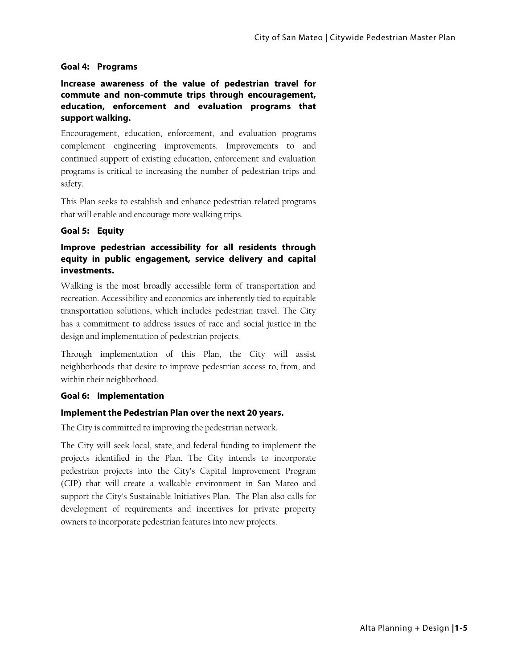#### **Goal 4: Programs**

**Increase awareness of the value of pedestrian travel for commute and non-commute trips through encouragement, education, enforcement and evaluation programs that support walking.** 

Encouragement, education, enforcement, and evaluation programs complement engineering improvements. Improvements to and continued support of existing education, enforcement and evaluation programs is critical to increasing the number of pedestrian trips and safety.

This Plan seeks to establish and enhance pedestrian related programs that will enable and encourage more walking trips.

### **Goal 5: Equity**

### **Improve pedestrian accessibility for all residents through equity in public engagement, service delivery and capital investments.**

Walking is the most broadly accessible form of transportation and recreation. Accessibility and economics are inherently tied to equitable transportation solutions, which includes pedestrian travel. The City has a commitment to address issues of race and social justice in the design and implementation of pedestrian projects.

Through implementation of this Plan, the City will assist neighborhoods that desire to improve pedestrian access to, from, and within their neighborhood.

#### **Goal 6: Implementation**

### **Implement the Pedestrian Plan over the next 20 years.**

The City is committed to improving the pedestrian network.

The City will seek local, state, and federal funding to implement the projects identified in the Plan. The City intends to incorporate pedestrian projects into the City's Capital Improvement Program (CIP) that will create a walkable environment in San Mateo and support the City's Sustainable Initiatives Plan. The Plan also calls for development of requirements and incentives for private property owners to incorporate pedestrian features into new projects.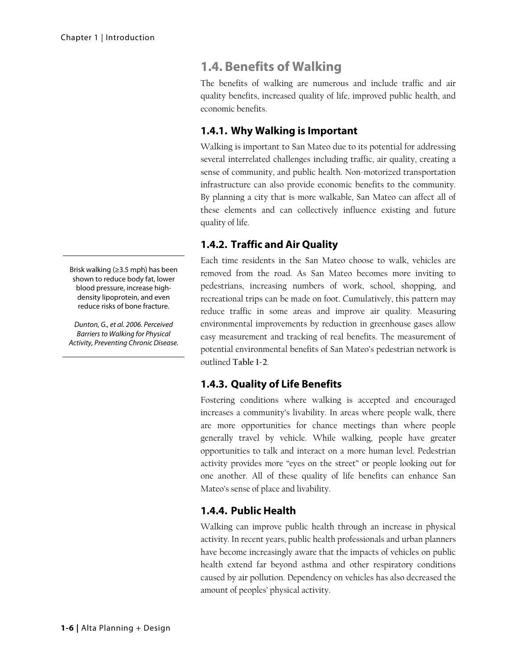# **1.4. Benefits of Walking**

The benefits of walking are numerous and include traffic and air quality benefits, increased quality of life, improved public health, and economic benefits.

### **1.4.1. Why Walking is Important**

Walking is important to San Mateo due to its potential for addressing several interrelated challenges including traffic, air quality, creating a sense of community, and public health. Non-motorized transportation infrastructure can also provide economic benefits to the community. By planning a city that is more walkable, San Mateo can affect all of these elements and can collectively influence existing and future quality of life.

### **1.4.2. Traffic and Air Quality**

Each time residents in the San Mateo choose to walk, vehicles are removed from the road. As San Mateo becomes more inviting to pedestrians, increasing numbers of work, school, shopping, and recreational trips can be made on foot. Cumulatively, this pattern may reduce traffic in some areas and improve air quality. Measuring environmental improvements by reduction in greenhouse gases allow easy measurement and tracking of real benefits. The measurement of potential environmental benefits of San Mateo's pedestrian network is outlined **Table 1-2**.

### **1.4.3. Quality of Life Benefits**

Fostering conditions where walking is accepted and encouraged increases a community's livability. In areas where people walk, there are more opportunities for chance meetings than where people generally travel by vehicle. While walking, people have greater opportunities to talk and interact on a more human level. Pedestrian activity provides more "eyes on the street" or people looking out for one another. All of these quality of life benefits can enhance San Mateo's sense of place and livability.

### **1.4.4. Public Health**

Walking can improve public health through an increase in physical activity. In recent years, public health professionals and urban planners have become increasingly aware that the impacts of vehicles on public health extend far beyond asthma and other respiratory conditions caused by air pollution. Dependency on vehicles has also decreased the amount of peoples' physical activity.

Brisk walking (≥3.5 mph) has been shown to reduce body fat, lower blood pressure, increase highdensity lipoprotein, and even reduce risks of bone fracture.

Dunton, G., et al. 2006. Perceived Barriers to Walking for Physical Activity, Preventing Chronic Disease.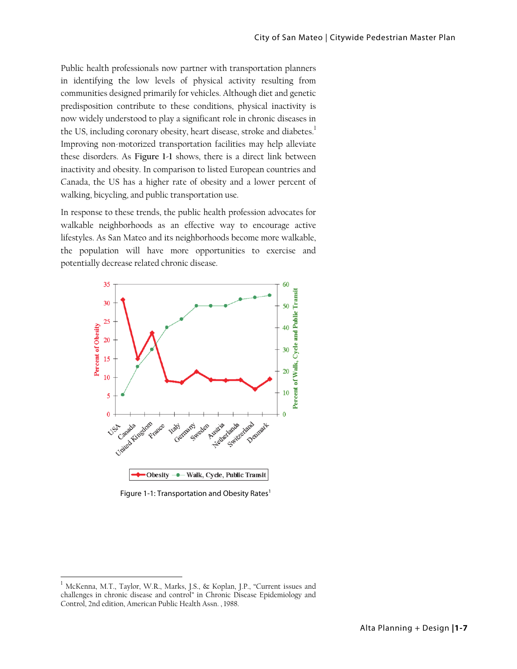Public health professionals now partner with transportation planners in identifying the low levels of physical activity resulting from communities designed primarily for vehicles. Although diet and genetic predisposition contribute to these conditions, physical inactivity is now widely understood to play a significant role in chronic diseases in the US, including coronary obesity, heart disease, stroke and diabetes.<sup>1</sup> Improving non-motorized transportation facilities may help alleviate these disorders. As **Figure 1-1** shows, there is a direct link between inactivity and obesity. In comparison to listed European countries and Canada, the US has a higher rate of obesity and a lower percent of walking, bicycling, and public transportation use.

In response to these trends, the public health profession advocates for walkable neighborhoods as an effective way to encourage active lifestyles. As San Mateo and its neighborhoods become more walkable, the population will have more opportunities to exercise and potentially decrease related chronic disease.



Figure 1-1: Transportation and Obesity Rates<sup>1</sup>

1

 $^1$  McKenna, M.T., Taylor, W.R., Marks, J.S., & Koplan, J.P., "Current issues and challenges in chronic disease and control" in Chronic Disease Epidemiology and Control, 2nd edition, American Public Health Assn. , 1988.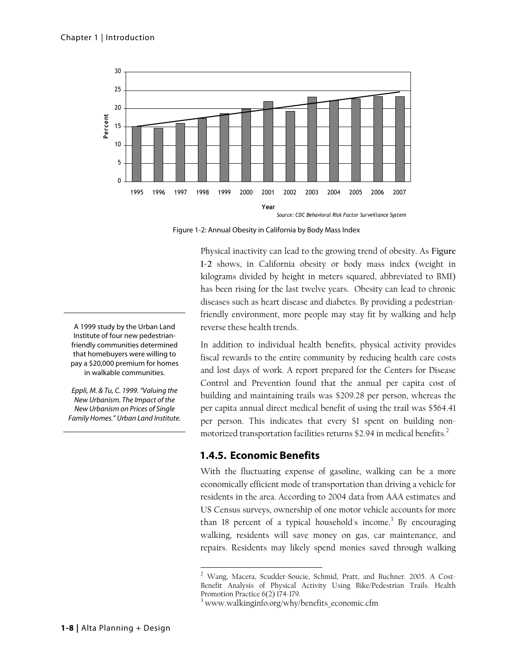

Figure 1-2: Annual Obesity in California by Body Mass Index

Physical inactivity can lead to the growing trend of obesity. As **Figure 1-2** shows, in California obesity or body mass index (weight in kilograms divided by height in meters squared, abbreviated to BMI) has been rising for the last twelve years. Obesity can lead to chronic diseases such as heart disease and diabetes. By providing a pedestrianfriendly environment, more people may stay fit by walking and help reverse these health trends.

In addition to individual health benefits, physical activity provides fiscal rewards to the entire community by reducing health care costs and lost days of work. A report prepared for the Centers for Disease Control and Prevention found that the annual per capita cost of building and maintaining trails was \$209.28 per person, whereas the per capita annual direct medical benefit of using the trail was \$564.41 per person. This indicates that every \$1 spent on building nonmotorized transportation facilities returns \$2.94 in medical benefits.<sup>2</sup>

### **1.4.5. Economic Benefits**

 $\overline{a}$ 

With the fluctuating expense of gasoline, walking can be a more economically efficient mode of transportation than driving a vehicle for residents in the area. According to 2004 data from AAA estimates and US Census surveys, ownership of one motor vehicle accounts for more than 18 percent of a typical household's income.<sup>3</sup> By encouraging walking, residents will save money on gas, car maintenance, and repairs. Residents may likely spend monies saved through walking

A 1999 study by the Urban Land Institute of four new pedestrianfriendly communities determined that homebuyers were willing to pay a \$20,000 premium for homes in walkable communities.

Eppli, M. & Tu, C. 1999. "Valuing the New Urbanism. The Impact of the New Urbanism on Prices of Single Family Homes." Urban Land Institute.

<sup>2</sup> Wang, Macera, Scudder-Soucie, Schmid, Pratt, and Buchner. 2005. A Cost-Benefit Analysis of Physical Activity Using Bike/Pedestrian Trails. Health Promotion Practice 6(2) 174-179.

<sup>3</sup> www.walkinginfo.org/why/benefits\_economic.cfm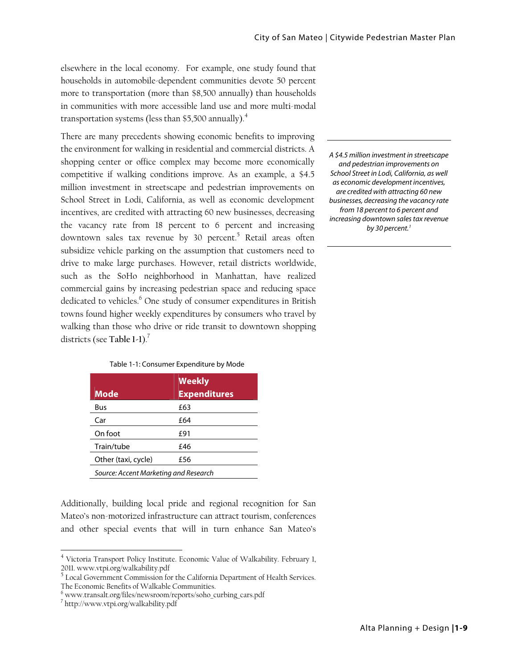elsewhere in the local economy. For example, one study found that households in automobile-dependent communities devote 50 percent more to transportation (more than \$8,500 annually) than households in communities with more accessible land use and more multi-modal transportation systems (less than \$5,500 annually). $^4$ 

There are many precedents showing economic benefits to improving the environment for walking in residential and commercial districts. A shopping center or office complex may become more economically competitive if walking conditions improve. As an example, a \$4.5 million investment in streetscape and pedestrian improvements on School Street in Lodi, California, as well as economic development incentives, are credited with attracting 60 new businesses, decreasing the vacancy rate from 18 percent to 6 percent and increasing downtown sales tax revenue by 30 percent.<sup>5</sup> Retail areas often subsidize vehicle parking on the assumption that customers need to drive to make large purchases. However, retail districts worldwide, such as the SoHo neighborhood in Manhattan, have realized commercial gains by increasing pedestrian space and reducing space dedicated to vehicles.<sup>6</sup> One study of consumer expenditures in British towns found higher weekly expenditures by consumers who travel by walking than those who drive or ride transit to downtown shopping districts (see Table 1-1).<sup>7</sup>

| Table 1-1: Consumer Expenditure by Mode |  |  |
|-----------------------------------------|--|--|
|-----------------------------------------|--|--|

| <b>Mode</b>                           | <b>Weekly</b><br><b>Expenditures</b> |  |
|---------------------------------------|--------------------------------------|--|
| Bus                                   | £63                                  |  |
| Car                                   | £64                                  |  |
| On foot                               | £91                                  |  |
| Train/tube                            | £46                                  |  |
| Other (taxi, cycle)                   | £56                                  |  |
| Source: Accent Marketing and Research |                                      |  |

Additionally, building local pride and regional recognition for San Mateo's non-motorized infrastructure can attract tourism, conferences and other special events that will in turn enhance San Mateo's

 $\overline{a}$ 

A \$4.5 million investment in streetscape and pedestrian improvements on School Street in Lodi, California, as well as economic development incentives, are credited with attracting 60 new businesses, decreasing the vacancy rate from 18 percent to 6 percent and increasing downtown sales tax revenue by 30 percent.<sup>1</sup>

<sup>&</sup>lt;sup>4</sup> Victoria Transport Policy Institute. Economic Value of Walkability. February 1, 2011. www.vtpi.org/walkability.pdf

<sup>&</sup>lt;sup>5</sup> Local Government Commission for the California Department of Health Services. The Economic Benefits of Walkable Communities. 6

 $6$  www.transalt.org/files/newsroom/reports/soho\_curbing\_cars.pdf

http://www.vtpi.org/walkability.pdf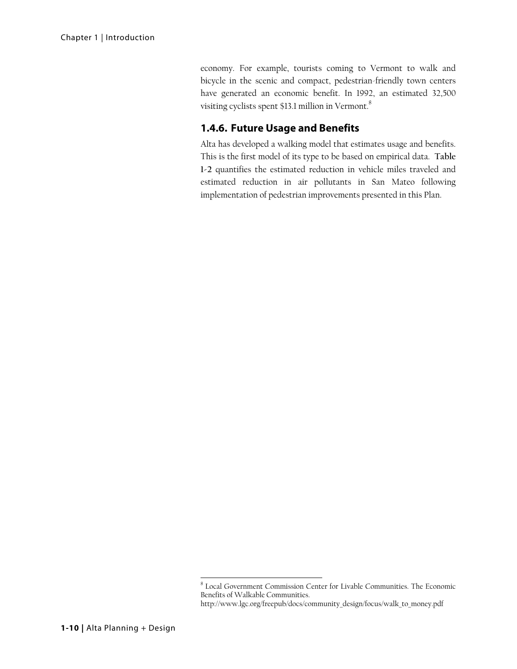economy. For example, tourists coming to Vermont to walk and bicycle in the scenic and compact, pedestrian-friendly town centers have generated an economic benefit. In 1992, an estimated 32,500 visiting cyclists spent \$13.1 million in Vermont.<sup>8</sup>

### **1.4.6. Future Usage and Benefits**

Alta has developed a walking model that estimates usage and benefits. This is the first model of its type to be based on empirical data. **Table 1-2** quantifies the estimated reduction in vehicle miles traveled and estimated reduction in air pollutants in San Mateo following implementation of pedestrian improvements presented in this Plan.

 8 Local Government Commission Center for Livable Communities. The Economic Benefits of Walkable Communities.

http://www.lgc.org/freepub/docs/community\_design/focus/walk\_to\_money.pdf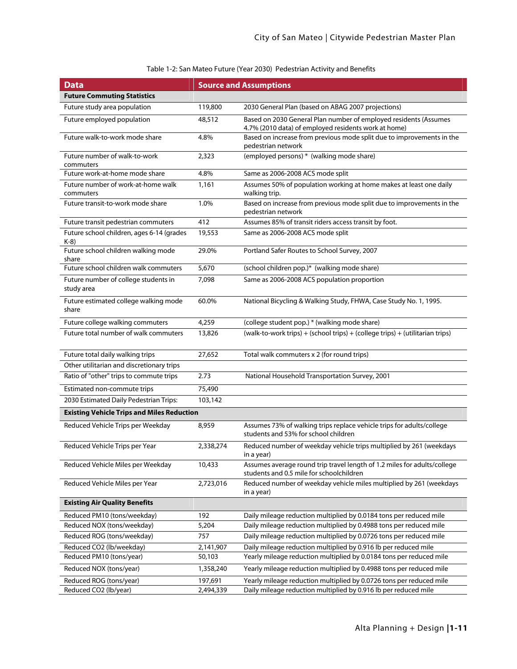| <b>Data</b>                                        |           | <b>Source and Assumptions</b>                                                                                            |  |
|----------------------------------------------------|-----------|--------------------------------------------------------------------------------------------------------------------------|--|
| <b>Future Commuting Statistics</b>                 |           |                                                                                                                          |  |
| Future study area population                       | 119,800   | 2030 General Plan (based on ABAG 2007 projections)                                                                       |  |
| Future employed population                         | 48,512    | Based on 2030 General Plan number of employed residents (Assumes<br>4.7% (2010 data) of employed residents work at home) |  |
| Future walk-to-work mode share                     | 4.8%      | Based on increase from previous mode split due to improvements in the<br>pedestrian network                              |  |
| Future number of walk-to-work<br>commuters         | 2,323     | (employed persons) * (walking mode share)                                                                                |  |
| Future work-at-home mode share                     | 4.8%      | Same as 2006-2008 ACS mode split                                                                                         |  |
| Future number of work-at-home walk<br>commuters    | 1,161     | Assumes 50% of population working at home makes at least one daily<br>walking trip.                                      |  |
| Future transit-to-work mode share                  | 1.0%      | Based on increase from previous mode split due to improvements in the<br>pedestrian network                              |  |
| Future transit pedestrian commuters                | 412       | Assumes 85% of transit riders access transit by foot.                                                                    |  |
| Future school children, ages 6-14 (grades<br>$K-8$ | 19,553    | Same as 2006-2008 ACS mode split                                                                                         |  |
| Future school children walking mode<br>share       | 29.0%     | Portland Safer Routes to School Survey, 2007                                                                             |  |
| Future school children walk commuters              | 5,670     | (school children pop.)* (walking mode share)                                                                             |  |
| Future number of college students in<br>study area | 7,098     | Same as 2006-2008 ACS population proportion                                                                              |  |
| Future estimated college walking mode<br>share     | 60.0%     | National Bicycling & Walking Study, FHWA, Case Study No. 1, 1995.                                                        |  |
| Future college walking commuters                   | 4,259     | (college student pop.) * (walking mode share)                                                                            |  |
| Future total number of walk commuters              | 13,826    | (walk-to-work trips) + (school trips) + (college trips) + (utilitarian trips)                                            |  |
| Future total daily walking trips                   | 27,652    | Total walk commuters x 2 (for round trips)                                                                               |  |
| Other utilitarian and discretionary trips          |           |                                                                                                                          |  |
| Ratio of "other" trips to commute trips            | 2.73      | National Household Transportation Survey, 2001                                                                           |  |
| Estimated non-commute trips                        | 75,490    |                                                                                                                          |  |
| 2030 Estimated Daily Pedestrian Trips:             | 103,142   |                                                                                                                          |  |
| <b>Existing Vehicle Trips and Miles Reduction</b>  |           |                                                                                                                          |  |
| Reduced Vehicle Trips per Weekday                  | 8,959     | Assumes 73% of walking trips replace vehicle trips for adults/college<br>students and 53% for school children            |  |
| Reduced Vehicle Trips per Year                     | 2,338,274 | Reduced number of weekday vehicle trips multiplied by 261 (weekdays<br>in a year)                                        |  |
| Reduced Vehicle Miles per Weekday                  | 10,433    | Assumes average round trip travel length of 1.2 miles for adults/college<br>students and 0.5 mile for schoolchildren     |  |
| Reduced Vehicle Miles per Year                     | 2,723,016 | Reduced number of weekday vehicle miles multiplied by 261 (weekdays<br>in a year)                                        |  |
| <b>Existing Air Quality Benefits</b>               |           |                                                                                                                          |  |
| Reduced PM10 (tons/weekday)                        | 192       | Daily mileage reduction multiplied by 0.0184 tons per reduced mile                                                       |  |
| Reduced NOX (tons/weekday)                         | 5,204     | Daily mileage reduction multiplied by 0.4988 tons per reduced mile                                                       |  |
| Reduced ROG (tons/weekday)                         | 757       | Daily mileage reduction multiplied by 0.0726 tons per reduced mile                                                       |  |
| Reduced CO2 (lb/weekday)                           | 2,141,907 | Daily mileage reduction multiplied by 0.916 lb per reduced mile                                                          |  |
| Reduced PM10 (tons/year)                           | 50,103    | Yearly mileage reduction multiplied by 0.0184 tons per reduced mile                                                      |  |
| Reduced NOX (tons/year)                            | 1,358,240 | Yearly mileage reduction multiplied by 0.4988 tons per reduced mile                                                      |  |
| Reduced ROG (tons/year)                            | 197,691   | Yearly mileage reduction multiplied by 0.0726 tons per reduced mile                                                      |  |
| Reduced CO2 (lb/year)                              | 2,494,339 | Daily mileage reduction multiplied by 0.916 lb per reduced mile                                                          |  |

### Table 1-2: San Mateo Future (Year 2030) Pedestrian Activity and Benefits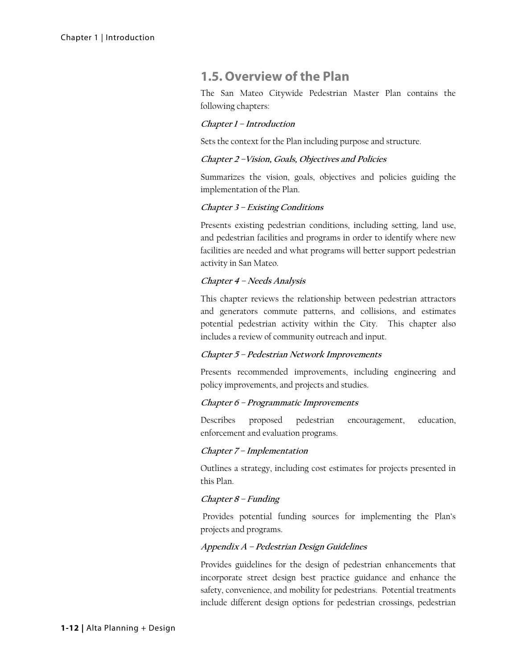# **1.5. Overview of the Plan**

The San Mateo Citywide Pedestrian Master Plan contains the following chapters:

### **Chapter 1 – Introduction**

Sets the context for the Plan including purpose and structure.

#### **Chapter 2 –Vision, Goals, Objectives and Policies**

Summarizes the vision, goals, objectives and policies guiding the implementation of the Plan.

### **Chapter 3 – Existing Conditions**

Presents existing pedestrian conditions, including setting, land use, and pedestrian facilities and programs in order to identify where new facilities are needed and what programs will better support pedestrian activity in San Mateo.

### **Chapter 4 – Needs Analysis**

This chapter reviews the relationship between pedestrian attractors and generators commute patterns, and collisions, and estimates potential pedestrian activity within the City. This chapter also includes a review of community outreach and input.

### **Chapter 5 – Pedestrian Network Improvements**

Presents recommended improvements, including engineering and policy improvements, and projects and studies.

#### **Chapter 6 – Programmatic Improvements**

Describes proposed pedestrian encouragement, education, enforcement and evaluation programs.

#### **Chapter 7 – Implementation**

Outlines a strategy, including cost estimates for projects presented in this Plan.

### **Chapter 8 – Funding**

Provides potential funding sources for implementing the Plan's projects and programs.

### **Appendix A – Pedestrian Design Guidelines**

Provides guidelines for the design of pedestrian enhancements that incorporate street design best practice guidance and enhance the safety, convenience, and mobility for pedestrians. Potential treatments include different design options for pedestrian crossings, pedestrian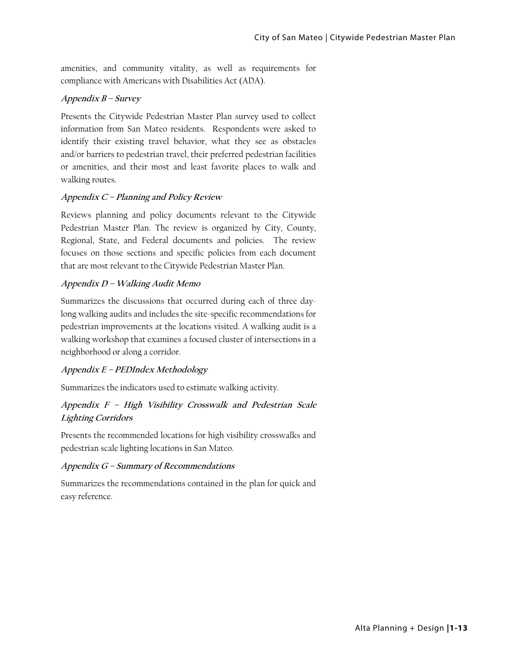amenities, and community vitality, as well as requirements for compliance with Americans with Disabilities Act (ADA).

### **Appendix B – Survey**

Presents the Citywide Pedestrian Master Plan survey used to collect information from San Mateo residents. Respondents were asked to identify their existing travel behavior, what they see as obstacles and/or barriers to pedestrian travel, their preferred pedestrian facilities or amenities, and their most and least favorite places to walk and walking routes.

### **Appendix C – Planning and Policy Review**

Reviews planning and policy documents relevant to the Citywide Pedestrian Master Plan. The review is organized by City, County, Regional, State, and Federal documents and policies. The review focuses on those sections and specific policies from each document that are most relevant to the Citywide Pedestrian Master Plan.

### **Appendix D – Walking Audit Memo**

Summarizes the discussions that occurred during each of three daylong walking audits and includes the site-specific recommendations for pedestrian improvements at the locations visited. A walking audit is a walking workshop that examines a focused cluster of intersections in a neighborhood or along a corridor.

### **Appendix E – PEDIndex Methodology**

Summarizes the indicators used to estimate walking activity.

### **Appendix F – High Visibility Crosswalk and Pedestrian Scale Lighting Corridors**

Presents the recommended locations for high visibility crosswalks and pedestrian scale lighting locations in San Mateo.

### **Appendix G – Summary of Recommendations**

Summarizes the recommendations contained in the plan for quick and easy reference.